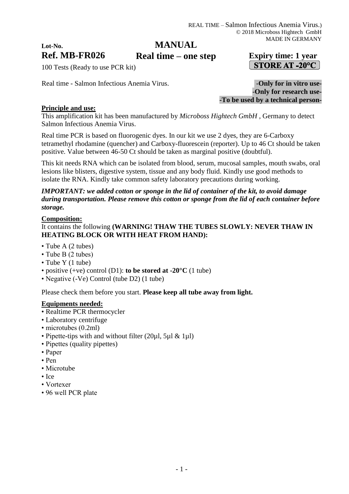# **MANUAL**

# **Ref. MB-FR026 Expiry time: 1 year Real time – one step** $\vert$  STORE AT -20°C  $\vert$

100 Tests (Ready to use PCR kit)

Real time - Salmon Infectious Anemia Virus.<br>**-Only for in vitro use-**

-**Only for research use- -To be used by a technical person-**

## **Principle and use:**

**Lot-No.**

This amplification kit has been manufactured by *Microboss Hightech GmbH* , Germany to detect Salmon Infectious Anemia Virus.

Real time PCR is based on fluorogenic dyes. In our kit we use 2 dyes, they are 6-Carboxy tetramethyl rhodamine (quencher) and Carboxy-fluorescein (reporter). Up to 46 Ct should be taken positive. Value between 46-50 Ct should be taken as marginal positive (doubtful).

This kit needs RNA which can be isolated from blood, serum, mucosal samples, mouth swabs, oral lesions like blisters, digestive system, tissue and any body fluid. Kindly use good methods to isolate the RNA. Kindly take common safety laboratory precautions during working.

## *IMPORTANT: we added cotton or sponge in the lid of container of the kit, to avoid damage during transportation. Please remove this cotton or sponge from the lid of each container before storage.*

#### **Composition:**

## It contains the following **(WARNING! THAW THE TUBES SLOWLY: NEVER THAW IN HEATING BLOCK OR WITH HEAT FROM HAND):**

- Tube A (2 tubes)
- Tube B (2 tubes)
- Tube Y (1 tube)
- positive (+ve) control (D1): **to be stored at -20°C** (1 tube)
- Negative (-Ve) Control (tube D2) (1 tube)

Please check them before you start. **Please keep all tube away from light.**

#### **Equipments needed:**

- Realtime PCR thermocycler
- Laboratory centrifuge
- microtubes (0.2ml)
- Pipette-tips with and without filter (20µl, 5µl & 1µl)
- Pipettes (quality pipettes)
- Paper
- Pen
- Microtube
- Ice
- Vortexer
- 96 well PCR plate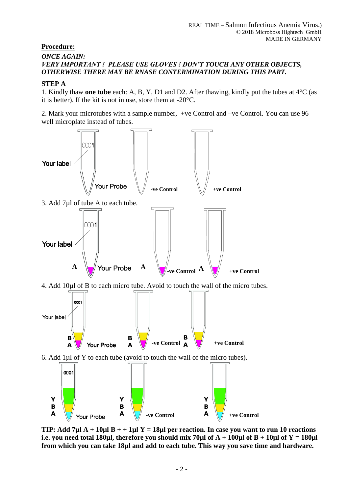## **Procedure:**

### *ONCE AGAIN: VERY IMPORTANT ! PLEASE USE GLOVES ! DON'T TOUCH ANY OTHER OBJECTS, OTHERWISE THERE MAY BE RNASE CONTERMINATION DURING THIS PART.*

## **STEP A**

1. Kindly thaw **one tube** each: A, B, Y, D1 and D2. After thawing, kindly put the tubes at 4°C (as it is better). If the kit is not in use, store them at -20°C.

2. Mark your microtubes with a sample number, +ve Control and –ve Control. You can use 96 well microplate instead of tubes.



**TIP: Add 7µl A + 10µl B + + 1µl Y = 18µl per reaction. In case you want to run 10 reactions i.e. you need total 180µl, therefore you should mix 70µl of**  $A + 100\mu$ **l of**  $B + 10\mu$ **l of**  $Y = 180\mu$ **l from which you can take 18µl and add to each tube. This way you save time and hardware.**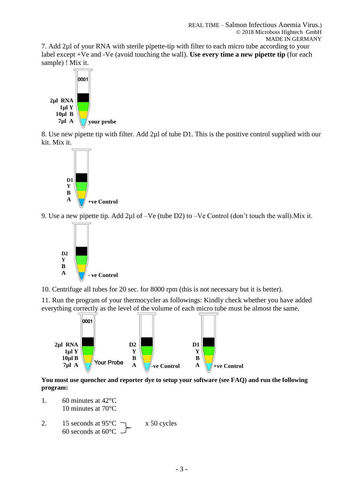7. Add 2µl of your RNA with sterile pipette-tip with filter to each micro tube according to your label except +Ve and -Ve (avoid touching the wall). **Use every time a new pipette tip** (for each sample) ! Mix it.



8. Use new pipette tip with filter. Add 2µl of tube D1. This is the positive control supplied with our kit. Mix it.



9. Use a new pipette tip. Add 2µl of –Ve (tube D2) to –Ve Control (don't touch the wall).Mix it.



10. Centrifuge all tubes for 20 sec. for 8000 rpm (this is not necessary but it is better).

11. Run the program of your thermocycler as followings: Kindly check whether you have added everything correctly as the level of the volume of each micro tube must be almost the same.



**You must use quencher and reporter dye to setup your software (see FAQ) and run the following program:**

- 1. 60 minutes at 42°C 10 minutes at 70°C
- 2. 15 seconds at  $95^{\circ}$ C  $\rightarrow x$  50 cycles 60 seconds at  $60^{\circ}$ C -